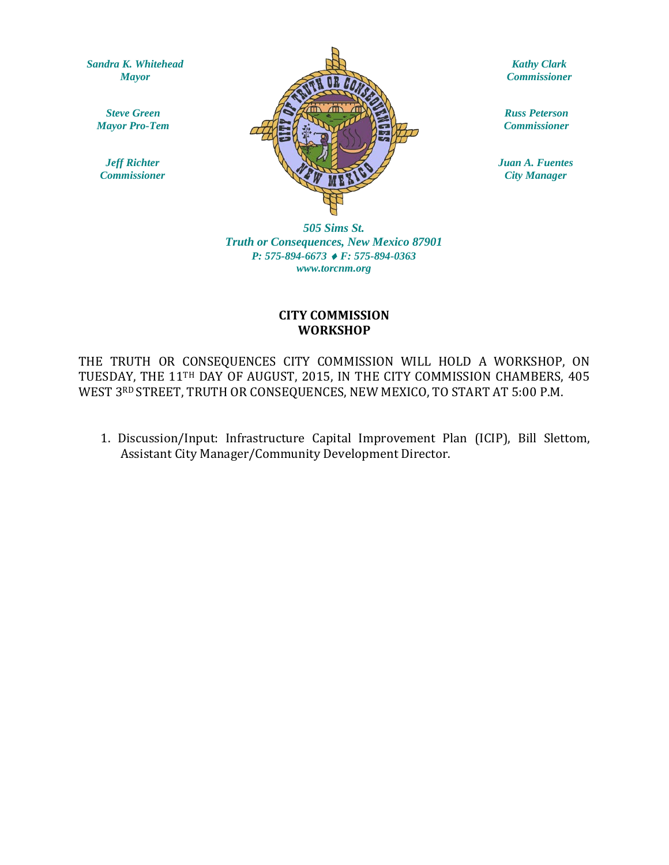*Sandra K. Whitehead Mayor*

*Steve Green Mayor Pro-Tem*

*Jeff Richter Commissioner*



*Kathy Clark Commissioner*

*Russ Peterson Commissioner*

*Juan A. Fuentes City Manager*

*505 Sims St. Truth or Consequences, New Mexico 87901 P: 575-894-6673* ♦ *F: 575-894-0363 www.torcnm.org*

### **CITY COMMISSION WORKSHOP**

THE TRUTH OR CONSEQUENCES CITY COMMISSION WILL HOLD A WORKSHOP, ON TUESDAY, THE 11TH DAY OF AUGUST, 2015, IN THE CITY COMMISSION CHAMBERS, 405 WEST 3RD STREET, TRUTH OR CONSEQUENCES, NEW MEXICO, TO START AT 5:00 P.M.

1. Discussion/Input: Infrastructure Capital Improvement Plan (ICIP), Bill Slettom, Assistant City Manager/Community Development Director.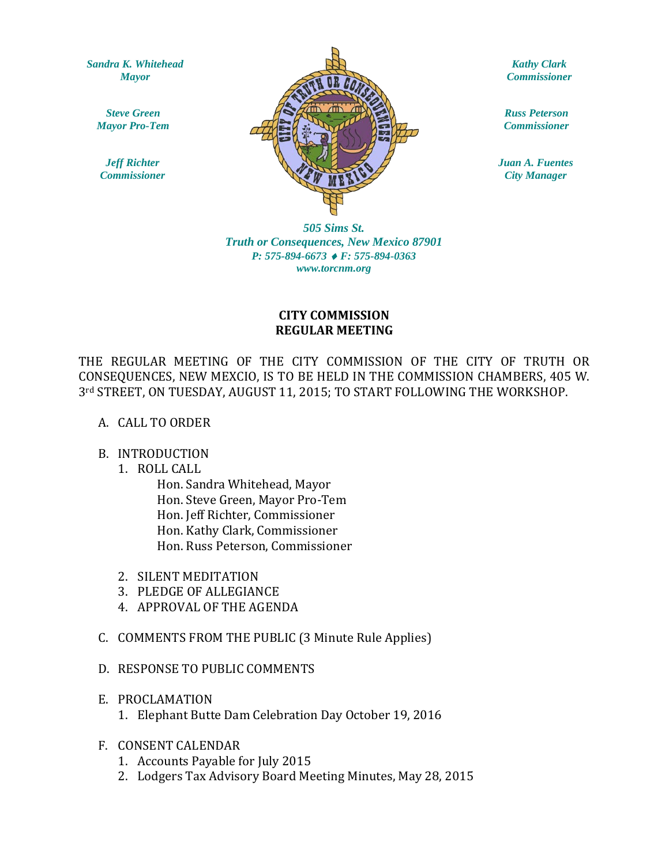*Sandra K. Whitehead Mayor*

*Steve Green Mayor Pro-Tem*

*Jeff Richter Commissioner*



*Kathy Clark Commissioner*

*Russ Peterson Commissioner*

*Juan A. Fuentes City Manager*

*505 Sims St. Truth or Consequences, New Mexico 87901 P: 575-894-6673* ♦ *F: 575-894-0363 www.torcnm.org*

## **CITY COMMISSION REGULAR MEETING**

THE REGULAR MEETING OF THE CITY COMMISSION OF THE CITY OF TRUTH OR CONSEQUENCES, NEW MEXCIO, IS TO BE HELD IN THE COMMISSION CHAMBERS, 405 W. 3rd STREET, ON TUESDAY, AUGUST 11, 2015; TO START FOLLOWING THE WORKSHOP.

#### A. CALL TO ORDER

#### B. INTRODUCTION

1. ROLL CALL

Hon. Sandra Whitehead, Mayor Hon. Steve Green, Mayor Pro-Tem Hon. Jeff Richter, Commissioner Hon. Kathy Clark, Commissioner Hon. Russ Peterson, Commissioner

- 2. SILENT MEDITATION
- 3. PLEDGE OF ALLEGIANCE
- 4. APPROVAL OF THE AGENDA
- C. COMMENTS FROM THE PUBLIC (3 Minute Rule Applies)
- D. RESPONSE TO PUBLIC COMMENTS
- E. PROCLAMATION
	- 1. Elephant Butte Dam Celebration Day October 19, 2016
- F. CONSENT CALENDAR
	- 1. Accounts Payable for July 2015
	- 2. Lodgers Tax Advisory Board Meeting Minutes, May 28, 2015